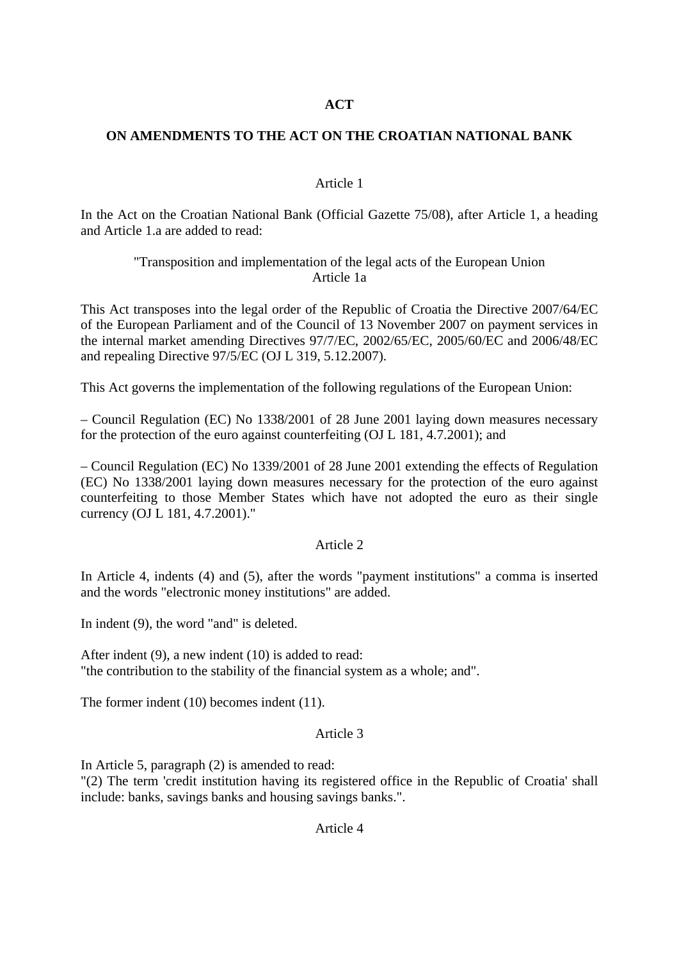## **ACT**

## **ON AMENDMENTS TO THE ACT ON THE CROATIAN NATIONAL BANK**

### Article 1

In the Act on the Croatian National Bank (Official Gazette 75/08), after Article 1, a heading and Article 1.a are added to read:

## "Transposition and implementation of the legal acts of the European Union Article 1a

This Act transposes into the legal order of the Republic of Croatia the Directive 2007/64/EC of the European Parliament and of the Council of 13 November 2007 on payment services in the internal market amending Directives 97/7/EC, 2002/65/EC, 2005/60/EC and 2006/48/EC and repealing Directive 97/5/EC (OJ L 319, 5.12.2007).

This Act governs the implementation of the following regulations of the European Union:

– Council Regulation (EC) No 1338/2001 of 28 June 2001 laying down measures necessary for the protection of the euro against counterfeiting (OJ L 181, 4.7.2001); and

– Council Regulation (EC) No 1339/2001 of 28 June 2001 extending the effects of Regulation (EC) No 1338/2001 laying down measures necessary for the protection of the euro against counterfeiting to those Member States which have not adopted the euro as their single currency (OJ L 181, 4.7.2001)."

### Article 2

In Article 4, indents (4) and (5), after the words "payment institutions" a comma is inserted and the words "electronic money institutions" are added.

In indent (9), the word "and" is deleted.

After indent (9), a new indent (10) is added to read: "the contribution to the stability of the financial system as a whole; and".

The former indent (10) becomes indent (11).

### Article 3

In Article 5, paragraph (2) is amended to read:

"(2) The term 'credit institution having its registered office in the Republic of Croatia' shall include: banks, savings banks and housing savings banks.".

Article 4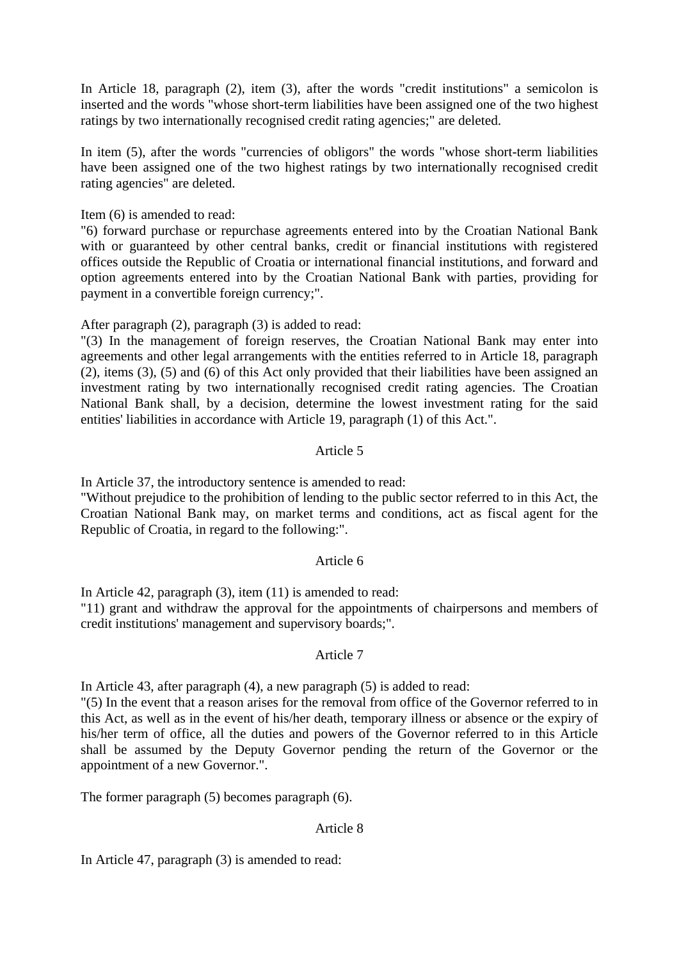In Article 18, paragraph (2), item (3), after the words "credit institutions" a semicolon is inserted and the words "whose short-term liabilities have been assigned one of the two highest ratings by two internationally recognised credit rating agencies;" are deleted.

In item (5), after the words "currencies of obligors" the words "whose short-term liabilities have been assigned one of the two highest ratings by two internationally recognised credit rating agencies" are deleted.

Item (6) is amended to read:

"6) forward purchase or repurchase agreements entered into by the Croatian National Bank with or guaranteed by other central banks, credit or financial institutions with registered offices outside the Republic of Croatia or international financial institutions, and forward and option agreements entered into by the Croatian National Bank with parties, providing for payment in a convertible foreign currency;".

After paragraph (2), paragraph (3) is added to read:

"(3) In the management of foreign reserves, the Croatian National Bank may enter into agreements and other legal arrangements with the entities referred to in Article 18, paragraph (2), items (3), (5) and (6) of this Act only provided that their liabilities have been assigned an investment rating by two internationally recognised credit rating agencies. The Croatian National Bank shall, by a decision, determine the lowest investment rating for the said entities' liabilities in accordance with Article 19, paragraph (1) of this Act.".

## Article 5

In Article 37, the introductory sentence is amended to read:

"Without prejudice to the prohibition of lending to the public sector referred to in this Act, the Croatian National Bank may, on market terms and conditions, act as fiscal agent for the Republic of Croatia, in regard to the following:".

### Article 6

In Article 42, paragraph (3), item (11) is amended to read:

"11) grant and withdraw the approval for the appointments of chairpersons and members of credit institutions' management and supervisory boards;".

### Article 7

In Article 43, after paragraph (4), a new paragraph (5) is added to read:

"(5) In the event that a reason arises for the removal from office of the Governor referred to in this Act, as well as in the event of his/her death, temporary illness or absence or the expiry of his/her term of office, all the duties and powers of the Governor referred to in this Article shall be assumed by the Deputy Governor pending the return of the Governor or the appointment of a new Governor.".

The former paragraph (5) becomes paragraph (6).

### Article 8

In Article 47, paragraph (3) is amended to read: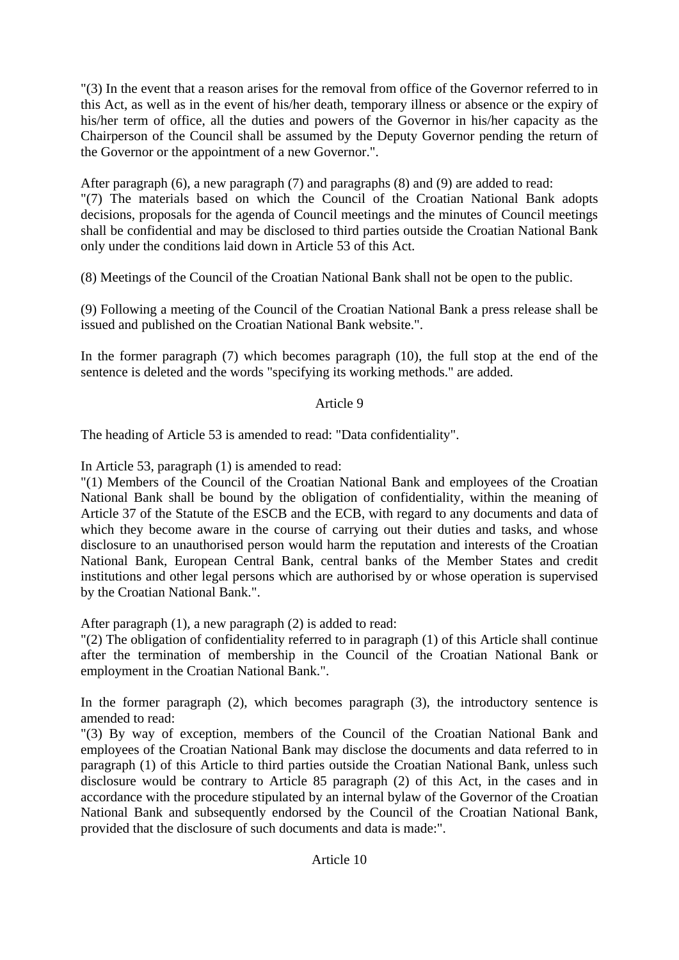"(3) In the event that a reason arises for the removal from office of the Governor referred to in this Act, as well as in the event of his/her death, temporary illness or absence or the expiry of his/her term of office, all the duties and powers of the Governor in his/her capacity as the Chairperson of the Council shall be assumed by the Deputy Governor pending the return of the Governor or the appointment of a new Governor.".

After paragraph (6), a new paragraph (7) and paragraphs (8) and (9) are added to read: "(7) The materials based on which the Council of the Croatian National Bank adopts decisions, proposals for the agenda of Council meetings and the minutes of Council meetings shall be confidential and may be disclosed to third parties outside the Croatian National Bank only under the conditions laid down in Article 53 of this Act.

(8) Meetings of the Council of the Croatian National Bank shall not be open to the public.

(9) Following a meeting of the Council of the Croatian National Bank a press release shall be issued and published on the Croatian National Bank website.".

In the former paragraph (7) which becomes paragraph (10), the full stop at the end of the sentence is deleted and the words "specifying its working methods." are added.

# Article 9

The heading of Article 53 is amended to read: "Data confidentiality".

In Article 53, paragraph (1) is amended to read:

"(1) Members of the Council of the Croatian National Bank and employees of the Croatian National Bank shall be bound by the obligation of confidentiality, within the meaning of Article 37 of the Statute of the ESCB and the ECB, with regard to any documents and data of which they become aware in the course of carrying out their duties and tasks, and whose disclosure to an unauthorised person would harm the reputation and interests of the Croatian National Bank, European Central Bank, central banks of the Member States and credit institutions and other legal persons which are authorised by or whose operation is supervised by the Croatian National Bank.".

After paragraph (1), a new paragraph (2) is added to read:

"(2) The obligation of confidentiality referred to in paragraph (1) of this Article shall continue after the termination of membership in the Council of the Croatian National Bank or employment in the Croatian National Bank.".

In the former paragraph (2), which becomes paragraph (3), the introductory sentence is amended to read:

"(3) By way of exception, members of the Council of the Croatian National Bank and employees of the Croatian National Bank may disclose the documents and data referred to in paragraph (1) of this Article to third parties outside the Croatian National Bank, unless such disclosure would be contrary to Article 85 paragraph (2) of this Act, in the cases and in accordance with the procedure stipulated by an internal bylaw of the Governor of the Croatian National Bank and subsequently endorsed by the Council of the Croatian National Bank, provided that the disclosure of such documents and data is made:".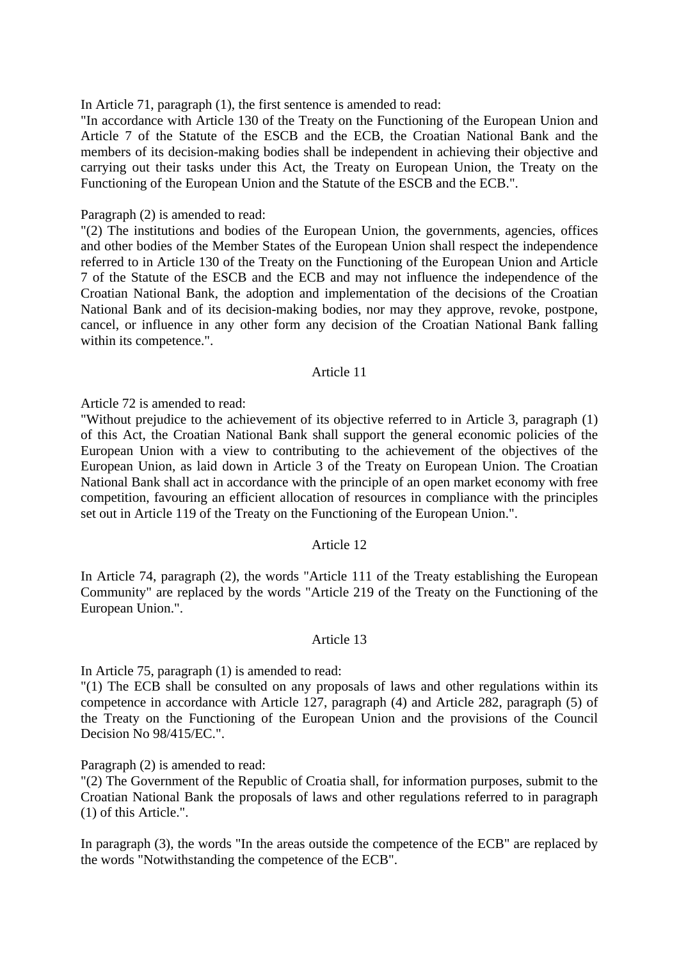In Article 71, paragraph (1), the first sentence is amended to read:

"In accordance with Article 130 of the Treaty on the Functioning of the European Union and Article 7 of the Statute of the ESCB and the ECB, the Croatian National Bank and the members of its decision-making bodies shall be independent in achieving their objective and carrying out their tasks under this Act, the Treaty on European Union, the Treaty on the Functioning of the European Union and the Statute of the ESCB and the ECB.".

#### Paragraph (2) is amended to read:

"(2) The institutions and bodies of the European Union, the governments, agencies, offices and other bodies of the Member States of the European Union shall respect the independence referred to in Article 130 of the Treaty on the Functioning of the European Union and Article 7 of the Statute of the ESCB and the ECB and may not influence the independence of the Croatian National Bank, the adoption and implementation of the decisions of the Croatian National Bank and of its decision-making bodies, nor may they approve, revoke, postpone, cancel, or influence in any other form any decision of the Croatian National Bank falling within its competence.".

#### Article 11

Article 72 is amended to read:

"Without prejudice to the achievement of its objective referred to in Article 3, paragraph (1) of this Act, the Croatian National Bank shall support the general economic policies of the European Union with a view to contributing to the achievement of the objectives of the European Union, as laid down in Article 3 of the Treaty on European Union. The Croatian National Bank shall act in accordance with the principle of an open market economy with free competition, favouring an efficient allocation of resources in compliance with the principles set out in Article 119 of the Treaty on the Functioning of the European Union.".

### Article 12

In Article 74, paragraph (2), the words "Article 111 of the Treaty establishing the European Community" are replaced by the words "Article 219 of the Treaty on the Functioning of the European Union.".

#### Article 13

In Article 75, paragraph (1) is amended to read:

"(1) The ECB shall be consulted on any proposals of laws and other regulations within its competence in accordance with Article 127, paragraph (4) and Article 282, paragraph (5) of the Treaty on the Functioning of the European Union and the provisions of the Council Decision No 98/415/EC."

Paragraph (2) is amended to read:

"(2) The Government of the Republic of Croatia shall, for information purposes, submit to the Croatian National Bank the proposals of laws and other regulations referred to in paragraph (1) of this Article.".

In paragraph (3), the words "In the areas outside the competence of the ECB" are replaced by the words "Notwithstanding the competence of the ECB".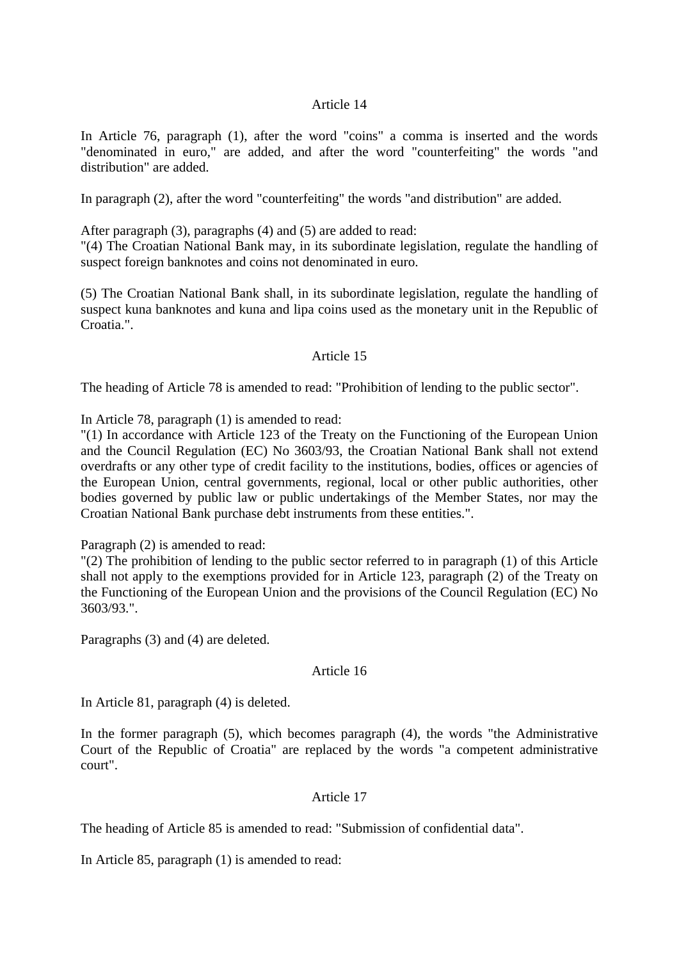### Article 14

In Article 76, paragraph (1), after the word "coins" a comma is inserted and the words "denominated in euro," are added, and after the word "counterfeiting" the words "and distribution" are added.

In paragraph (2), after the word "counterfeiting" the words "and distribution" are added.

After paragraph (3), paragraphs (4) and (5) are added to read:

"(4) The Croatian National Bank may, in its subordinate legislation, regulate the handling of suspect foreign banknotes and coins not denominated in euro.

(5) The Croatian National Bank shall, in its subordinate legislation, regulate the handling of suspect kuna banknotes and kuna and lipa coins used as the monetary unit in the Republic of Croatia.".

#### Article 15

The heading of Article 78 is amended to read: "Prohibition of lending to the public sector".

In Article 78, paragraph (1) is amended to read:

"(1) In accordance with Article 123 of the Treaty on the Functioning of the European Union and the Council Regulation (EC) No 3603/93, the Croatian National Bank shall not extend overdrafts or any other type of credit facility to the institutions, bodies, offices or agencies of the European Union, central governments, regional, local or other public authorities, other bodies governed by public law or public undertakings of the Member States, nor may the Croatian National Bank purchase debt instruments from these entities.".

Paragraph (2) is amended to read:

"(2) The prohibition of lending to the public sector referred to in paragraph (1) of this Article shall not apply to the exemptions provided for in Article 123, paragraph (2) of the Treaty on the Functioning of the European Union and the provisions of the Council Regulation (EC) No 3603/93.".

Paragraphs (3) and (4) are deleted.

### Article 16

In Article 81, paragraph (4) is deleted.

In the former paragraph (5), which becomes paragraph (4), the words "the Administrative Court of the Republic of Croatia" are replaced by the words "a competent administrative court".

### Article 17

The heading of Article 85 is amended to read: "Submission of confidential data".

In Article 85, paragraph (1) is amended to read: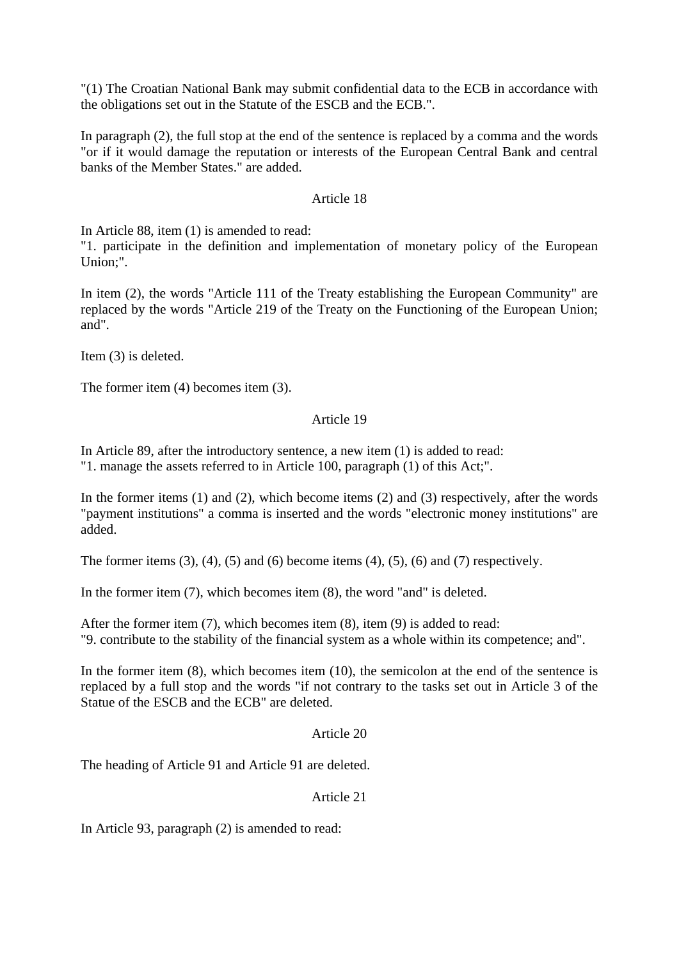"(1) The Croatian National Bank may submit confidential data to the ECB in accordance with the obligations set out in the Statute of the ESCB and the ECB.".

In paragraph (2), the full stop at the end of the sentence is replaced by a comma and the words "or if it would damage the reputation or interests of the European Central Bank and central banks of the Member States." are added.

### Article 18

In Article 88, item (1) is amended to read:

"1. participate in the definition and implementation of monetary policy of the European Union;".

In item (2), the words "Article 111 of the Treaty establishing the European Community" are replaced by the words "Article 219 of the Treaty on the Functioning of the European Union; and".

Item (3) is deleted.

The former item (4) becomes item (3).

## Article 19

In Article 89, after the introductory sentence, a new item (1) is added to read: "1. manage the assets referred to in Article 100, paragraph (1) of this Act;".

In the former items  $(1)$  and  $(2)$ , which become items  $(2)$  and  $(3)$  respectively, after the words "payment institutions" a comma is inserted and the words "electronic money institutions" are added.

The former items  $(3)$ ,  $(4)$ ,  $(5)$  and  $(6)$  become items  $(4)$ ,  $(5)$ ,  $(6)$  and  $(7)$  respectively.

In the former item (7), which becomes item (8), the word "and" is deleted.

After the former item (7), which becomes item (8), item (9) is added to read: "9. contribute to the stability of the financial system as a whole within its competence; and".

In the former item (8), which becomes item (10), the semicolon at the end of the sentence is replaced by a full stop and the words "if not contrary to the tasks set out in Article 3 of the Statue of the ESCB and the ECB" are deleted.

### Article 20

The heading of Article 91 and Article 91 are deleted.

## Article 21

In Article 93, paragraph (2) is amended to read: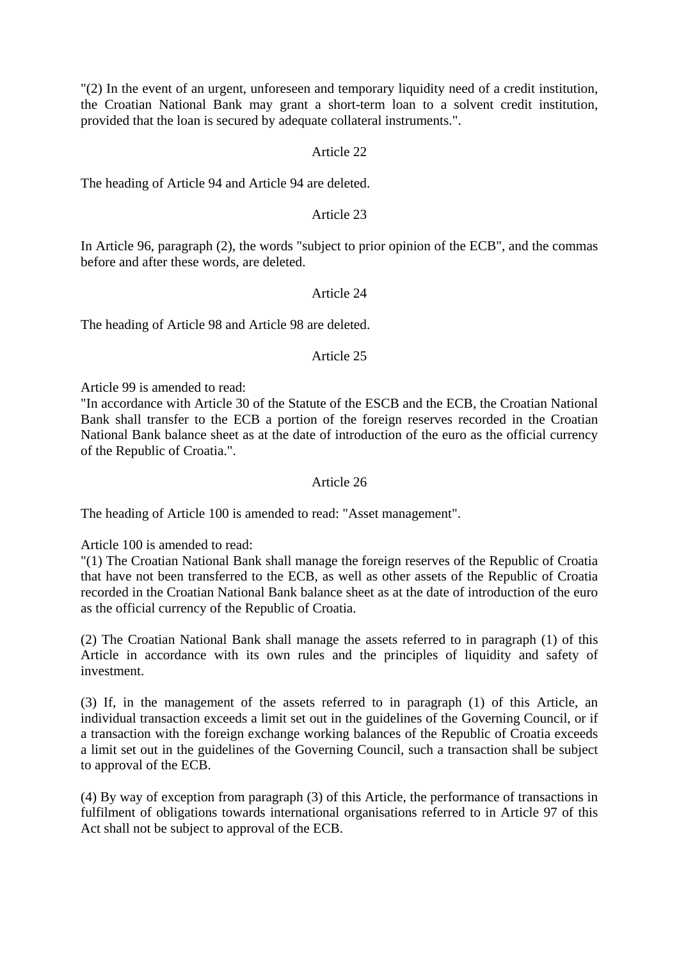"(2) In the event of an urgent, unforeseen and temporary liquidity need of a credit institution, the Croatian National Bank may grant a short-term loan to a solvent credit institution, provided that the loan is secured by adequate collateral instruments.".

## Article 22

The heading of Article 94 and Article 94 are deleted.

### Article 23

In Article 96, paragraph (2), the words "subject to prior opinion of the ECB", and the commas before and after these words, are deleted.

## Article 24

The heading of Article 98 and Article 98 are deleted.

### Article 25

Article 99 is amended to read:

"In accordance with Article 30 of the Statute of the ESCB and the ECB, the Croatian National Bank shall transfer to the ECB a portion of the foreign reserves recorded in the Croatian National Bank balance sheet as at the date of introduction of the euro as the official currency of the Republic of Croatia.".

### Article 26

The heading of Article 100 is amended to read: "Asset management".

Article 100 is amended to read:

"(1) The Croatian National Bank shall manage the foreign reserves of the Republic of Croatia that have not been transferred to the ECB, as well as other assets of the Republic of Croatia recorded in the Croatian National Bank balance sheet as at the date of introduction of the euro as the official currency of the Republic of Croatia.

(2) The Croatian National Bank shall manage the assets referred to in paragraph (1) of this Article in accordance with its own rules and the principles of liquidity and safety of investment.

(3) If, in the management of the assets referred to in paragraph (1) of this Article, an individual transaction exceeds a limit set out in the guidelines of the Governing Council, or if a transaction with the foreign exchange working balances of the Republic of Croatia exceeds a limit set out in the guidelines of the Governing Council, such a transaction shall be subject to approval of the ECB.

(4) By way of exception from paragraph (3) of this Article, the performance of transactions in fulfilment of obligations towards international organisations referred to in Article 97 of this Act shall not be subject to approval of the ECB.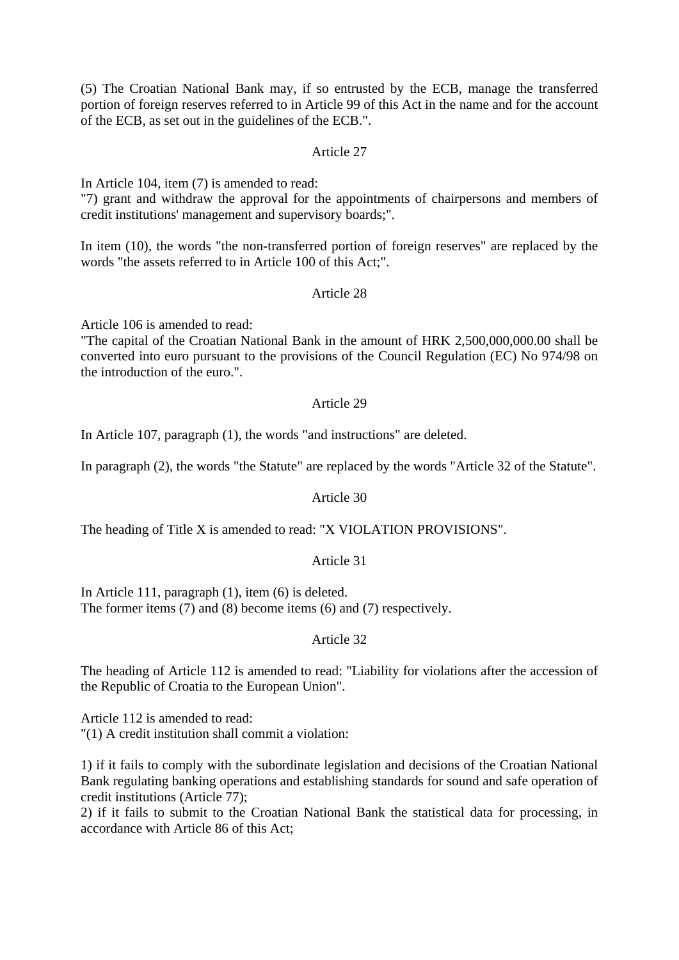(5) The Croatian National Bank may, if so entrusted by the ECB, manage the transferred portion of foreign reserves referred to in Article 99 of this Act in the name and for the account of the ECB, as set out in the guidelines of the ECB.".

### Article 27

In Article 104, item (7) is amended to read:

"7) grant and withdraw the approval for the appointments of chairpersons and members of credit institutions' management and supervisory boards;".

In item (10), the words "the non-transferred portion of foreign reserves" are replaced by the words "the assets referred to in Article 100 of this Act;".

## Article 28

Article 106 is amended to read:

"The capital of the Croatian National Bank in the amount of HRK 2,500,000,000.00 shall be converted into euro pursuant to the provisions of the Council Regulation (EC) No 974/98 on the introduction of the euro.".

## Article 29

In Article 107, paragraph (1), the words "and instructions" are deleted.

In paragraph (2), the words "the Statute" are replaced by the words "Article 32 of the Statute".

### Article 30

The heading of Title X is amended to read: "X VIOLATION PROVISIONS".

### Article 31

In Article 111, paragraph (1), item (6) is deleted. The former items (7) and (8) become items (6) and (7) respectively.

### Article 32

The heading of Article 112 is amended to read: "Liability for violations after the accession of the Republic of Croatia to the European Union".

Article 112 is amended to read: "(1) A credit institution shall commit a violation:

1) if it fails to comply with the subordinate legislation and decisions of the Croatian National Bank regulating banking operations and establishing standards for sound and safe operation of credit institutions (Article 77);

2) if it fails to submit to the Croatian National Bank the statistical data for processing, in accordance with Article 86 of this Act;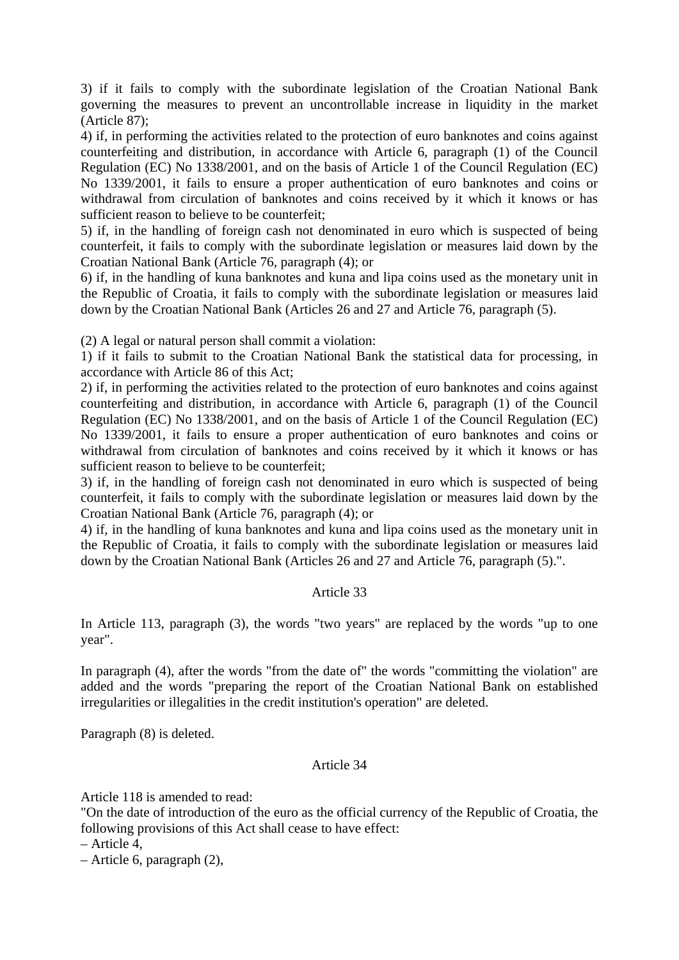3) if it fails to comply with the subordinate legislation of the Croatian National Bank governing the measures to prevent an uncontrollable increase in liquidity in the market (Article 87);

4) if, in performing the activities related to the protection of euro banknotes and coins against counterfeiting and distribution, in accordance with Article 6, paragraph (1) of the Council Regulation (EC) No 1338/2001, and on the basis of Article 1 of the Council Regulation (EC) No 1339/2001, it fails to ensure a proper authentication of euro banknotes and coins or withdrawal from circulation of banknotes and coins received by it which it knows or has sufficient reason to believe to be counterfeit;

5) if, in the handling of foreign cash not denominated in euro which is suspected of being counterfeit, it fails to comply with the subordinate legislation or measures laid down by the Croatian National Bank (Article 76, paragraph (4); or

6) if, in the handling of kuna banknotes and kuna and lipa coins used as the monetary unit in the Republic of Croatia, it fails to comply with the subordinate legislation or measures laid down by the Croatian National Bank (Articles 26 and 27 and Article 76, paragraph (5).

(2) A legal or natural person shall commit a violation:

1) if it fails to submit to the Croatian National Bank the statistical data for processing, in accordance with Article 86 of this Act;

2) if, in performing the activities related to the protection of euro banknotes and coins against counterfeiting and distribution, in accordance with Article 6, paragraph (1) of the Council Regulation (EC) No 1338/2001, and on the basis of Article 1 of the Council Regulation (EC) No 1339/2001, it fails to ensure a proper authentication of euro banknotes and coins or withdrawal from circulation of banknotes and coins received by it which it knows or has sufficient reason to believe to be counterfeit;

3) if, in the handling of foreign cash not denominated in euro which is suspected of being counterfeit, it fails to comply with the subordinate legislation or measures laid down by the Croatian National Bank (Article 76, paragraph (4); or

4) if, in the handling of kuna banknotes and kuna and lipa coins used as the monetary unit in the Republic of Croatia, it fails to comply with the subordinate legislation or measures laid down by the Croatian National Bank (Articles 26 and 27 and Article 76, paragraph (5).".

### Article 33

In Article 113, paragraph (3), the words "two years" are replaced by the words "up to one year".

In paragraph (4), after the words "from the date of" the words "committing the violation" are added and the words "preparing the report of the Croatian National Bank on established irregularities or illegalities in the credit institution's operation" are deleted.

Paragraph (8) is deleted.

### Article 34

Article 118 is amended to read:

"On the date of introduction of the euro as the official currency of the Republic of Croatia, the following provisions of this Act shall cease to have effect:

– Article 4,

– Article 6, paragraph (2),